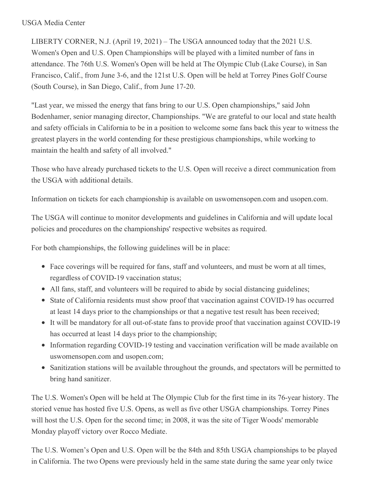## USGA Media Center

LIBERTY CORNER, N.J. (April 19, 2021) – The USGA announced today that the 2021 U.S. Women's Open and U.S. Open Championships will be played with a limited number of fans in attendance. The 76th U.S. Women's Open will be held at The Olympic Club (Lake Course), in San Francisco, Calif., from June 3-6, and the 121st U.S. Open will be held at Torrey Pines Golf Course (South Course), in San Diego, Calif., from June 17-20.

"Last year, we missed the energy that fans bring to our U.S. Open championships," said John Bodenhamer, senior managing director, Championships. "We are grateful to our local and state health and safety officials in California to be in a position to welcome some fans back this year to witness the greatest players in the world contending for these prestigious championships, while working to maintain the health and safety of all involved."

Those who have already purchased tickets to the U.S. Open will receive a direct communication from the USGA with additional details.

Information on tickets for each championship is available on uswomensopen.com and usopen.com.

The USGA will continue to monitor developments and guidelines in California and will update local policies and procedures on the championships' respective websites as required.

For both championships, the following guidelines will be in place:

- Face coverings will be required for fans, staff and volunteers, and must be worn at all times, regardless of COVID-19 vaccination status;
- All fans, staff, and volunteers will be required to abide by social distancing guidelines;
- State of California residents must show proof that vaccination against COVID-19 has occurred at least 14 days prior to the championships or that a negative test result has been received;
- It will be mandatory for all out-of-state fans to provide proof that vaccination against COVID-19 has occurred at least 14 days prior to the championship;
- Information regarding COVID-19 testing and vaccination verification will be made available on uswomensopen.com and usopen.com;
- Sanitization stations will be available throughout the grounds, and spectators will be permitted to bring hand sanitizer.

The U.S. Women's Open will be held at The Olympic Club for the first time in its 76-year history. The storied venue has hosted five U.S. Opens, as well as five other USGA championships. Torrey Pines will host the U.S. Open for the second time; in 2008, it was the site of Tiger Woods' memorable Monday playoff victory over Rocco Mediate.

The U.S. Women's Open and U.S. Open will be the 84th and 85th USGA championships to be played in California. The two Opens were previously held in the same state during the same year only twice